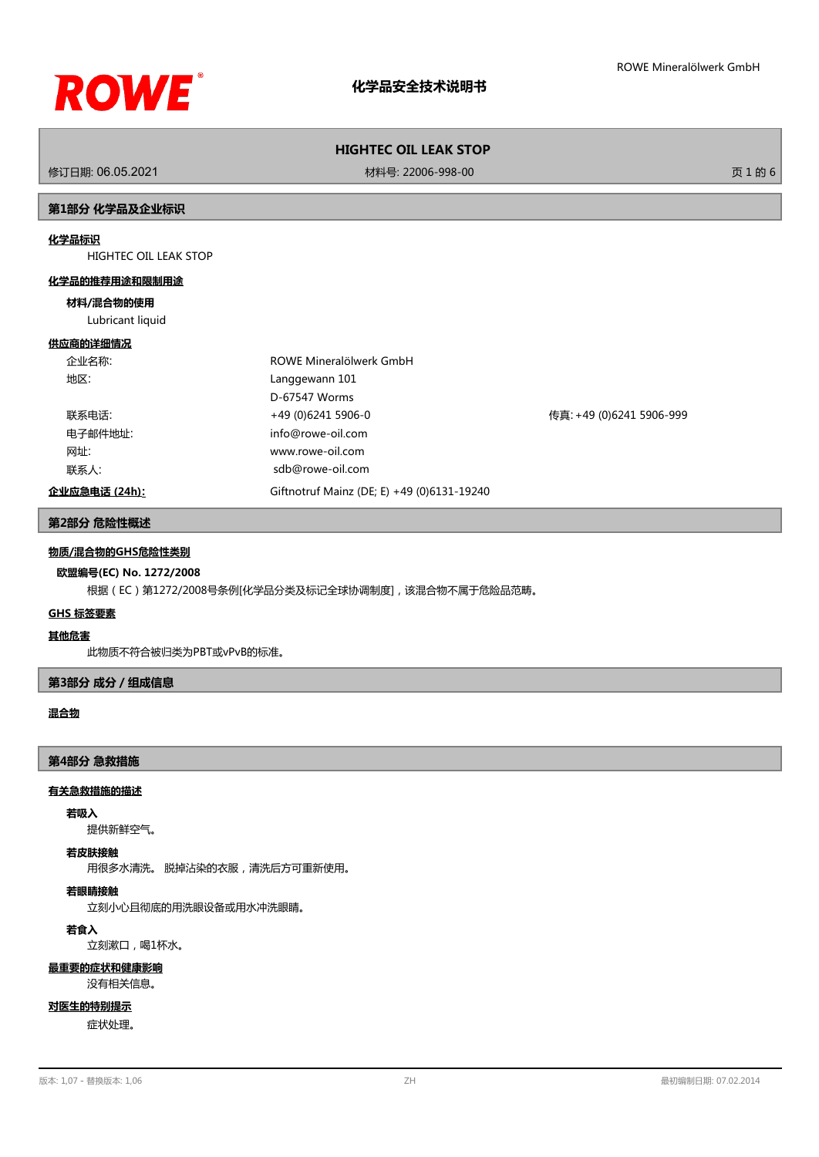

修订日期: 06.05.2021 材料号: 22006-998-00 页 1 的 6

# **第1部分 化学品及企业标识**

# **化学品标识**

HIGHTEC OIL LEAK STOP

#### **化学品的推荐用途和限制用途**

#### **材料/混合物的使用**

Lubricant liquid

#### **供应商的详细情况**

| 企业名称:         | ROWE Mineralölwerk GmbH                    |                          |
|---------------|--------------------------------------------|--------------------------|
| 地区:           | Langgewann 101                             |                          |
|               | D-67547 Worms                              |                          |
| 联系电话:         | +49 (0)6241 5906-0                         | 传真: +49 (0)6241 5906-999 |
| 电子邮件地址:       | info@rowe-oil.com                          |                          |
| 网址:           | www.rowe-oil.com                           |                          |
| 联系人:          | sdb@rowe-oil.com                           |                          |
| 企业应急电话 (24h): | Giftnotruf Mainz (DE; E) +49 (0)6131-19240 |                          |

### **第2部分 危险性概述**

# **物质/混合物的GHS危险性类别**

# **欧盟编号(EC) No. 1272/2008**

根据(EC)第1272/2008号条例[化学品分类及标记全球协调制度],该混合物不属于危险品范畴。

# **GHS 标签要素**

# **其他危害**

此物质不符合被归类为PBT或vPvB的标准。

# **第3部分 成分/组成信息**

# **混合物**

#### **第4部分 急救措施**

#### **有关急救措施的描述**

#### **若吸入**

提供新鲜空气。

#### **若皮肤接触**

用很多水清洗。 脱掉沾染的衣服,清洗后方可重新使用。

#### **若眼睛接触**

立刻小心且彻底的用洗眼设备或用水冲洗眼睛。

# **若食入**

立刻漱口,喝1杯水。

# **最重要的症状和健康影响**

没有相关信息。

# **对医生的特别提示**

症状处理。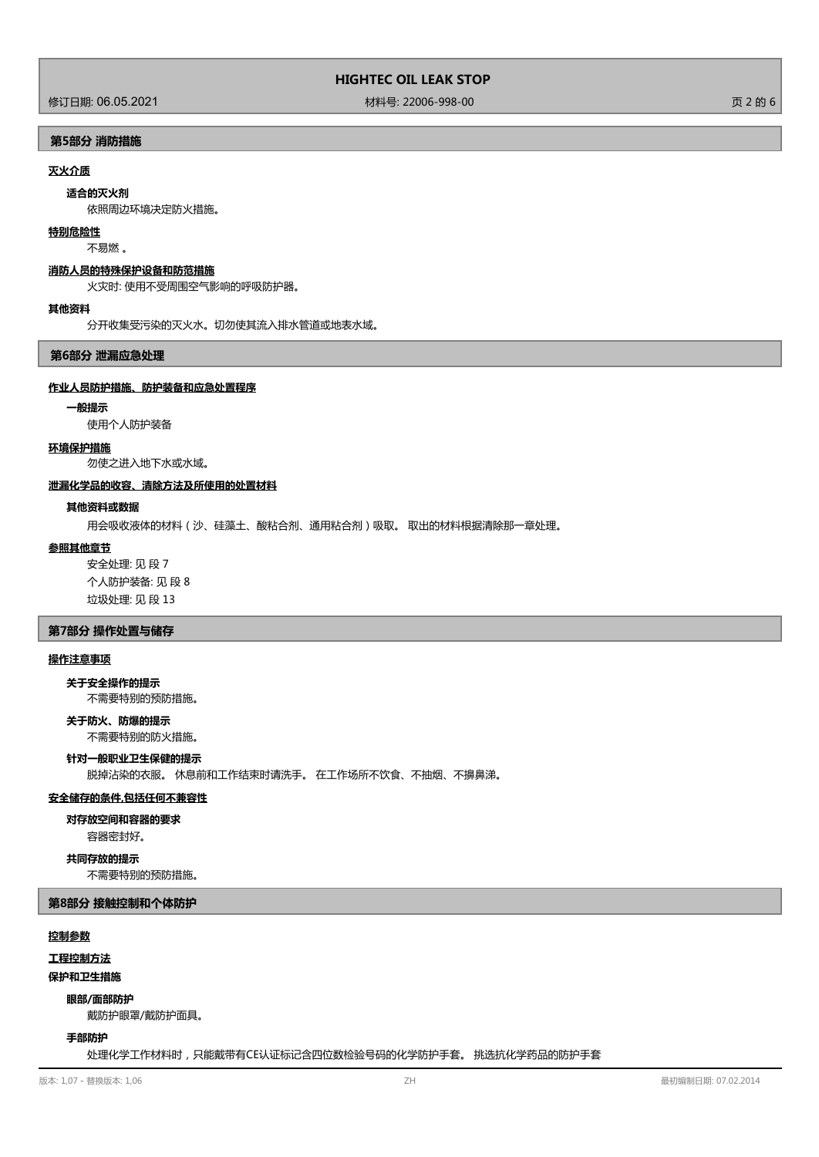修订日期: 06.05.2021 材料号: 22006-998-00 页 2 的 6

**第5部分 消防措施**

# **灭火介质**

**适合的灭火剂**

依照周边环境决定防火措施。

# **特别危险性**

不易燃 。

# **消防人员的特殊保护设备和防范措施**

火灾时: 使用不受周围空气影响的呼吸防护器。

#### **其他资料**

分开收集受污染的灭火水。切勿使其流入排水管道或地表水域。

**第6部分 泄漏应急处理**

### **作业人员防护措施、防护装备和应急处置程序**

#### **一般提示**

使用个人防护装备

#### **环境保护措施**

勿使之进入地下水或水域。

#### **泄漏化学品的收容、清除方法及所使用的处置材料**

### **其他资料或数据**

用会吸收液体的材料(沙、硅藻土、酸粘合剂、通用粘合剂)吸取。 取出的材料根据清除那一章处理。

### **参照其他章节**

安全处理: 见 段 7 个人防护装备: 见 段 8 垃圾处理: 见 段 13

# **第7部分 操作处置与储存**

# **操作注意事项**

**关于安全操作的提示**

不需要特别的预防措施。

不需要特别的防火措施。 **关于防火、防爆的提示**

#### **针对一般职业卫生保健的提示**

脱掉沾染的衣服。 休息前和工作结束时请洗手。 在工作场所不饮食、不抽烟、不擤鼻涕。

#### **安全储存的条件,包括任何不兼容性**

**对存放空间和容器的要求**

容器密封好。

**共同存放的提示**

不需要特别的预防措施。

### **第8部分 接触控制和个体防护**

#### **控制参数**

**工程控制方法**

# **保护和卫生措施**

#### **眼部/面部防护**

戴防护眼罩/戴防护面具。

#### **手部防护**

处理化学工作材料时,只能戴带有CE认证标记含四位数检验号码的化学防护手套。 挑选抗化学药品的防护手套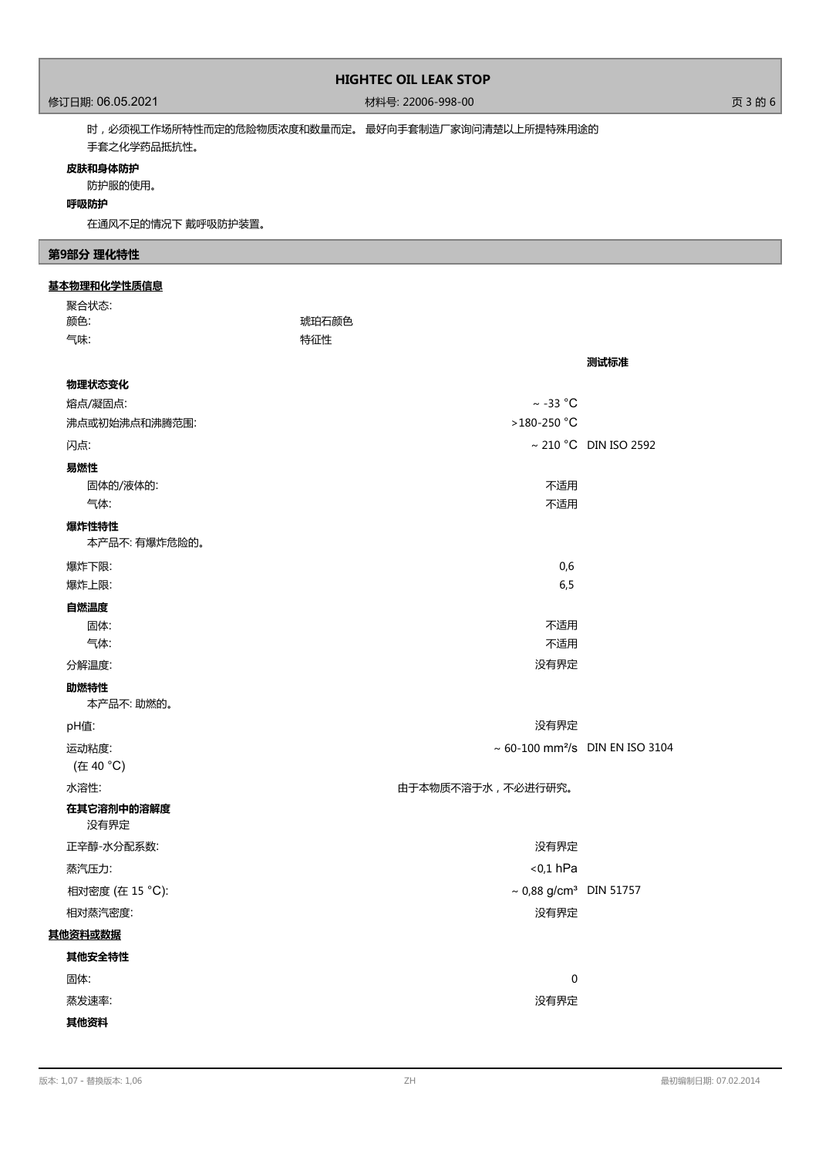# 修订日期: 06.05.2021 材料号: 22006-998-00 页 3 的 6

时,必须视工作场所特性而定的危险物质浓度和数量而定。 最好向手套制造厂家询问清楚以上所提特殊用途的 手套之化学药品抵抗性。

# **皮肤和身体防护**

防护服的使用。

## **呼吸防护**

在通风不足的情况下 戴呼吸防护装置。

# **第9部分 理化特性**

#### **基本物理和化学性质信息**

| 聚合状态:                  |       |                                         |                                                    |
|------------------------|-------|-----------------------------------------|----------------------------------------------------|
| 颜色:                    | 琥珀石颜色 |                                         |                                                    |
| 气味:                    | 特征性   |                                         |                                                    |
|                        |       |                                         | 测试标准                                               |
| 物理状态变化                 |       |                                         |                                                    |
| 熔点/凝固点:                |       | $\sim$ -33 °C                           |                                                    |
| 沸点或初始沸点和沸腾范围:          |       | >180-250 °C                             |                                                    |
| 闪点:                    |       |                                         | $\sim$ 210 °C DIN ISO 2592                         |
| 易燃性                    |       |                                         |                                                    |
| 固体的/液体的:               |       | 不适用                                     |                                                    |
| 气体:                    |       | 不适用                                     |                                                    |
| 爆炸性特性<br>本产品不: 有爆炸危险的。 |       |                                         |                                                    |
| 爆炸下限:                  |       | 0,6                                     |                                                    |
| 爆炸上限:                  |       | 6, 5                                    |                                                    |
| 自燃温度                   |       |                                         |                                                    |
| 固体:                    |       | 不适用                                     |                                                    |
| 气体:                    |       | 不适用                                     |                                                    |
| 分解温度:                  |       | 没有界定                                    |                                                    |
| 助燃特性<br>本产品不:助燃的。      |       |                                         |                                                    |
| pH值:                   |       | 没有界定                                    |                                                    |
| 运动粘度:                  |       |                                         | $\sim 60 - 100$ mm <sup>2</sup> /s DIN EN ISO 3104 |
| (在 40 °C)              |       |                                         |                                                    |
| 水溶性:                   |       | 由于本物质不溶于水,不必进行研究。                       |                                                    |
| 在其它溶剂中的溶解度<br>没有界定     |       |                                         |                                                    |
| 正辛醇-水分配系数:             |       | 没有界定                                    |                                                    |
| 蒸汽压力:                  |       | $0,1$ hPa                               |                                                    |
| 相对密度 (在 15 °C):        |       | $\sim 0,88$ g/cm <sup>3</sup> DIN 51757 |                                                    |
| 相对蒸汽密度:                |       | 没有界定                                    |                                                    |
| 其他资料或数据                |       |                                         |                                                    |
| 其他安全特性                 |       |                                         |                                                    |
| 固体:                    |       | $\pmb{0}$                               |                                                    |
| 蒸发速率:                  |       | 没有界定                                    |                                                    |
| 其他资料                   |       |                                         |                                                    |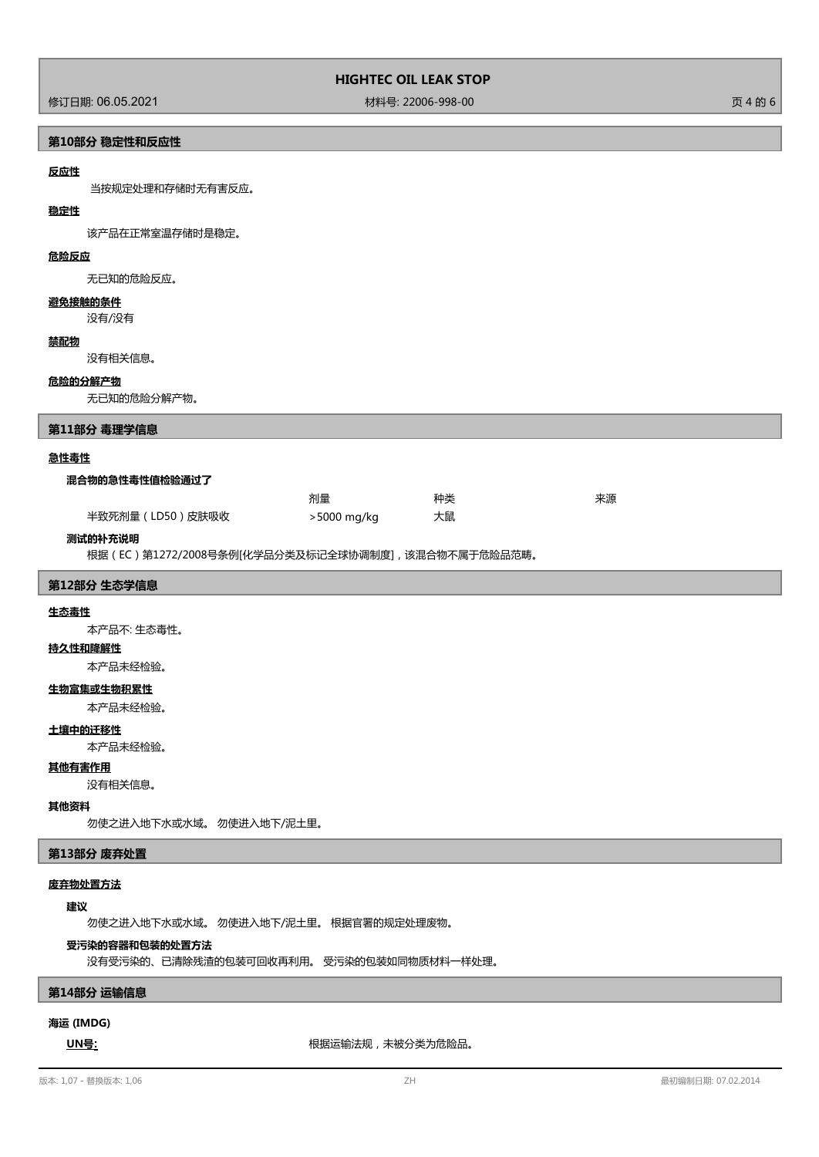# 修订日期: 06.05.2021 材料号: 22006-998-00 页 4 的 6

**第10部分 稳定性和反应性**

# **反应性**

当按规定处理和存储时无有害反应。

# **稳定性**

该产品在正常室温存储时是稳定。

# **危险反应**

无已知的危险反应。

# **避免接触的条件**

没有/没有

#### **禁配物**

没有相关信息。

#### **危险的分解产物**

无已知的危险分解产物。

### **第11部分 毒理学信息**

#### **急性毒性**

#### **混合物的急性毒性值检验通过了**

|                 | 剂量          | 种类 | 来源 |
|-----------------|-------------|----|----|
| 半致死剂量(LD50)皮肤吸收 | >5000 mg/kg | 大鼠 |    |

#### **测试的补充说明**

根据(EC)第1272/2008号条例[化学品分类及标记全球协调制度],该混合物不属于危险品范畴。

### **第12部分 生态学信息**

#### **生态毒性**

本产品不: 生态毒性。

#### **持久性和降解性**

本产品未经检验。

### **生物富集或生物积累性**

本产品未经检验。

#### **土壤中的迁移性**

本产品未经检验。

# **其他有害作用**

# 没有相关信息。

# **其他资料**

勿使之进入地下水或水域。 勿使进入地下/泥土里。

# **第13部分 废弃处置**

# **废弃物处置方法**

# **建议**

勿使之进入地下水或水域。 勿使进入地下/泥土里。 根据官署的规定处理废物。

# **受污染的容器和包装的处置方法**

没有受污染的、已清除残渣的包装可回收再利用。 受污染的包装如同物质材料一样处理。

# **第14部分 运输信息**

# **海运 (IMDG)**

**UN号:** 根据运输法规,未被分类为危险品。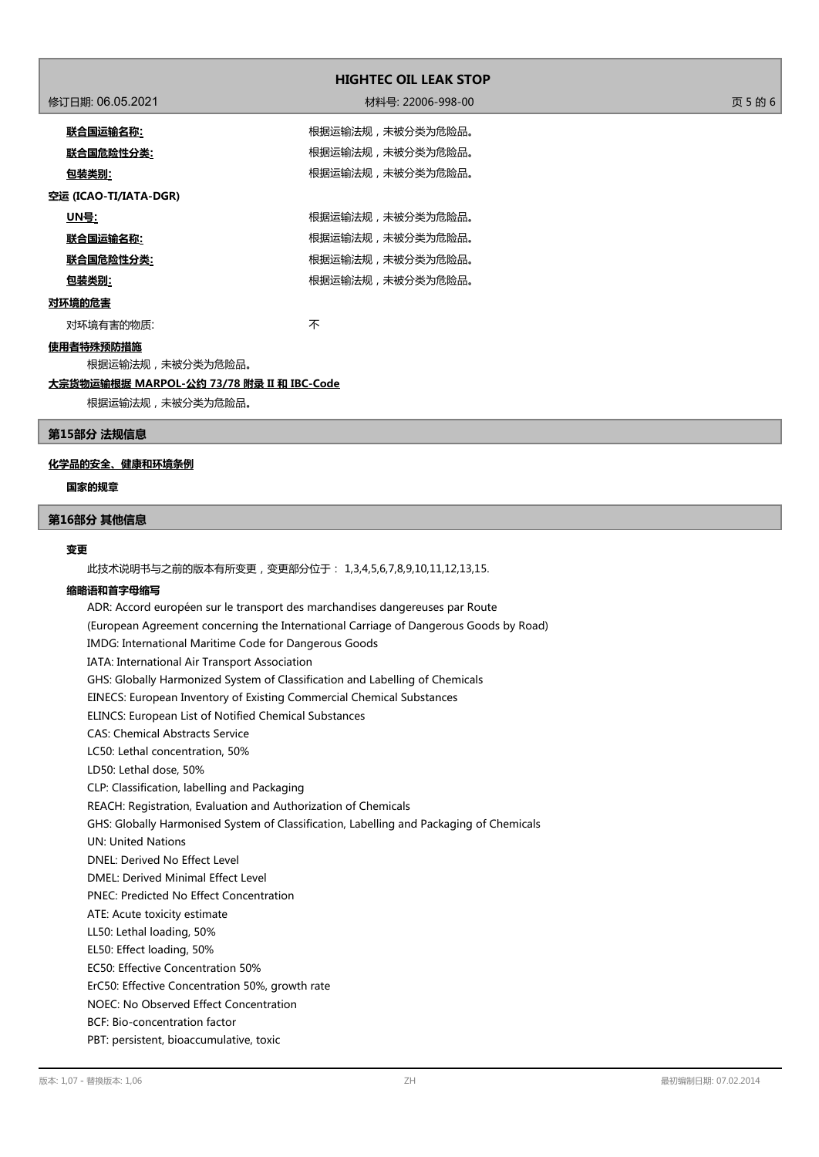| <b>HIGHTEC OIL LEAK STOP</b> |                   |         |  |  |  |
|------------------------------|-------------------|---------|--|--|--|
| 修订日期: 06.05.2021             | 材料号: 22006-998-00 | 页 5 的 6 |  |  |  |
| 联合国运输名称:                     | 根据运输法规,未被分类为危险品。  |         |  |  |  |
| <u> 联合国危险性分类:</u>            | 根据运输法规,未被分类为危险品。  |         |  |  |  |
| <u>包装类别:</u>                 | 根据运输法规,未被分类为危险品。  |         |  |  |  |
| 空运 (ICAO-TI/IATA-DGR)        |                   |         |  |  |  |
| <u> UN号:</u>                 | 根据运输法规,未被分类为危险品。  |         |  |  |  |
| <u>联合国运输名称:</u>              | 根据运输法规,未被分类为危险品。  |         |  |  |  |
| <u>联合国危险性分类:</u>             | 根据运输法规,未被分类为危险品。  |         |  |  |  |
| <u>包装类别:</u>                 | 根据运输法规,未被分类为危险品。  |         |  |  |  |
| 对环境的危害                       |                   |         |  |  |  |
| 对环境有害的物质:                    | 不                 |         |  |  |  |
| 使用者特殊预防措施                    |                   |         |  |  |  |
| 根据运输法规,未被分类为危险品。             |                   |         |  |  |  |

### **大宗货物运输根据 MARPOL-公约 73/78 附录 II 和 IBC-Code**

根据运输法规,未被分类为危险品。

# **第15部分 法规信息**

# **化学品的安全、健康和环境条例**

# **国家的规章**

#### **第16部分 其他信息**

#### **变更**

此技术说明书与之前的版本有所变更,变更部分位于: 1,3,4,5,6,7,8,9,10,11,12,13,15.

#### **缩略语和首字母缩写**

ADR: Accord européen sur le transport des marchandises dangereuses par Route (European Agreement concerning the International Carriage of Dangerous Goods by Road) IMDG: International Maritime Code for Dangerous Goods IATA: International Air Transport Association GHS: Globally Harmonized System of Classification and Labelling of Chemicals EINECS: European Inventory of Existing Commercial Chemical Substances ELINCS: European List of Notified Chemical Substances CAS: Chemical Abstracts Service LC50: Lethal concentration, 50% LD50: Lethal dose, 50% CLP: Classification, labelling and Packaging REACH: Registration, Evaluation and Authorization of Chemicals GHS: Globally Harmonised System of Classification, Labelling and Packaging of Chemicals UN: United Nations DNEL: Derived No Effect Level DMEL: Derived Minimal Effect Level PNEC: Predicted No Effect Concentration ATE: Acute toxicity estimate LL50: Lethal loading, 50% EL50: Effect loading, 50% EC50: Effective Concentration 50% ErC50: Effective Concentration 50%, growth rate NOEC: No Observed Effect Concentration BCF: Bio-concentration factor PBT: persistent, bioaccumulative, toxic